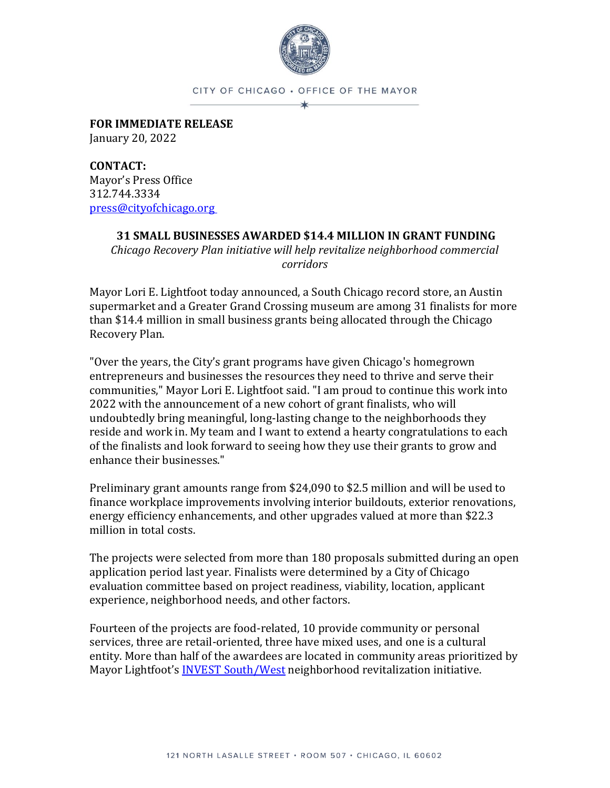

CITY OF CHICAGO · OFFICE OF THE MAYOR  $\star$ 

**FOR IMMEDIATE RELEASE** January 20, 2022

**CONTACT:** Mayor's Press Office 312.744.3334 [press@cityofchicago.org](mailto:press@cityofchicago.org)

## **31 SMALL BUSINESSES AWARDED \$14.4 MILLION IN GRANT FUNDING**

*Chicago Recovery Plan initiative will help revitalize neighborhood commercial corridors*

Mayor Lori E. Lightfoot today announced, a South Chicago record store, an Austin supermarket and a Greater Grand Crossing museum are among 31 finalists for more than \$14.4 million in small business grants being allocated through the Chicago Recovery Plan.

"Over the years, the City's grant programs have given Chicago's homegrown entrepreneurs and businesses the resources they need to thrive and serve their communities," Mayor Lori E. Lightfoot said. "I am proud to continue this work into 2022 with the announcement of a new cohort of grant finalists, who will undoubtedly bring meaningful, long-lasting change to the neighborhoods they reside and work in. My team and I want to extend a hearty congratulations to each of the finalists and look forward to seeing how they use their grants to grow and enhance their businesses."

Preliminary grant amounts range from \$24,090 to \$2.5 million and will be used to finance workplace improvements involving interior buildouts, exterior renovations, energy efficiency enhancements, and other upgrades valued at more than \$22.3 million in total costs.

The projects were selected from more than 180 proposals submitted during an open application period last year. Finalists were determined by a City of Chicago evaluation committee based on project readiness, viability, location, applicant experience, neighborhood needs, and other factors.

Fourteen of the projects are food-related, 10 provide community or personal services, three are retail-oriented, three have mixed uses, and one is a cultural entity. More than half of the awardees are located in community areas prioritized by Mayor Lightfoot's [INVEST South/West](https://www.chicago.gov/city/en/sites/invest_sw/home.html) neighborhood revitalization initiative.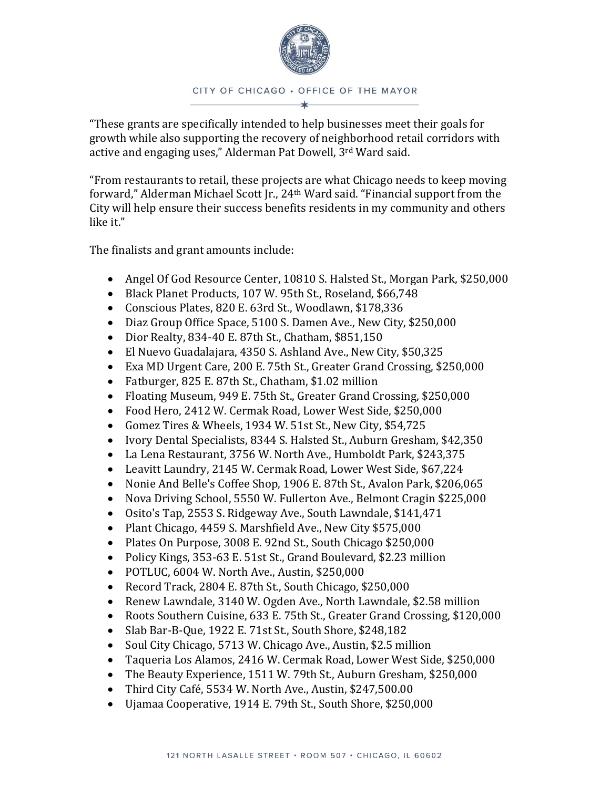

"These grants are specifically intended to help businesses meet their goals for growth while also supporting the recovery of neighborhood retail corridors with active and engaging uses," Alderman Pat Dowell, 3rd Ward said.

"From restaurants to retail, these projects are what Chicago needs to keep moving forward," Alderman Michael Scott Jr., 24th Ward said. "Financial support from the City will help ensure their success benefits residents in my community and others like it."

The finalists and grant amounts include:

- Angel Of God Resource Center, 10810 S. Halsted St., Morgan Park, \$250,000
- Black Planet Products, 107 W. 95th St., Roseland, \$66,748
- Conscious Plates, 820 E. 63rd St., Woodlawn, \$178,336
- Diaz Group Office Space, 5100 S. Damen Ave., New City, \$250,000
- Dior Realty, 834-40 E. 87th St., Chatham, \$851,150
- El Nuevo Guadalajara, 4350 S. Ashland Ave., New City, \$50,325
- Exa MD Urgent Care, 200 E. 75th St., Greater Grand Crossing, \$250,000
- Fatburger, 825 E. 87th St., Chatham, \$1.02 million
- Floating Museum, 949 E. 75th St., Greater Grand Crossing, \$250,000
- Food Hero, 2412 W. Cermak Road, Lower West Side, \$250,000
- Gomez Tires & Wheels, 1934 W. 51st St., New City, \$54,725
- Ivory Dental Specialists, 8344 S. Halsted St., Auburn Gresham, \$42,350
- La Lena Restaurant, 3756 W. North Ave., Humboldt Park, \$243,375
- Leavitt Laundry, 2145 W. Cermak Road, Lower West Side, \$67,224
- Nonie And Belle's Coffee Shop, 1906 E. 87th St., Avalon Park, \$206,065
- Nova Driving School, 5550 W. Fullerton Ave., Belmont Cragin \$225,000
- Osito's Tap, 2553 S. Ridgeway Ave., South Lawndale, \$141,471
- Plant Chicago, 4459 S. Marshfield Ave., New City \$575,000
- Plates On Purpose, 3008 E. 92nd St., South Chicago \$250,000
- Policy Kings, 353-63 E. 51st St., Grand Boulevard, \$2.23 million
- POTLUC, 6004 W. North Ave., Austin, \$250,000
- Record Track, 2804 E. 87th St., South Chicago, \$250,000
- Renew Lawndale, 3140 W. Ogden Ave., North Lawndale, \$2.58 million
- Roots Southern Cuisine, 633 E. 75th St., Greater Grand Crossing, \$120,000
- Slab Bar-B-Que, 1922 E. 71st St., South Shore, \$248,182
- Soul City Chicago, 5713 W. Chicago Ave., Austin, \$2.5 million
- Taqueria Los Alamos, 2416 W. Cermak Road, Lower West Side, \$250,000
- The Beauty Experience, 1511 W. 79th St., Auburn Gresham, \$250,000
- Third City Café, 5534 W. North Ave., Austin, \$247,500.00
- Ujamaa Cooperative, 1914 E. 79th St., South Shore, \$250,000